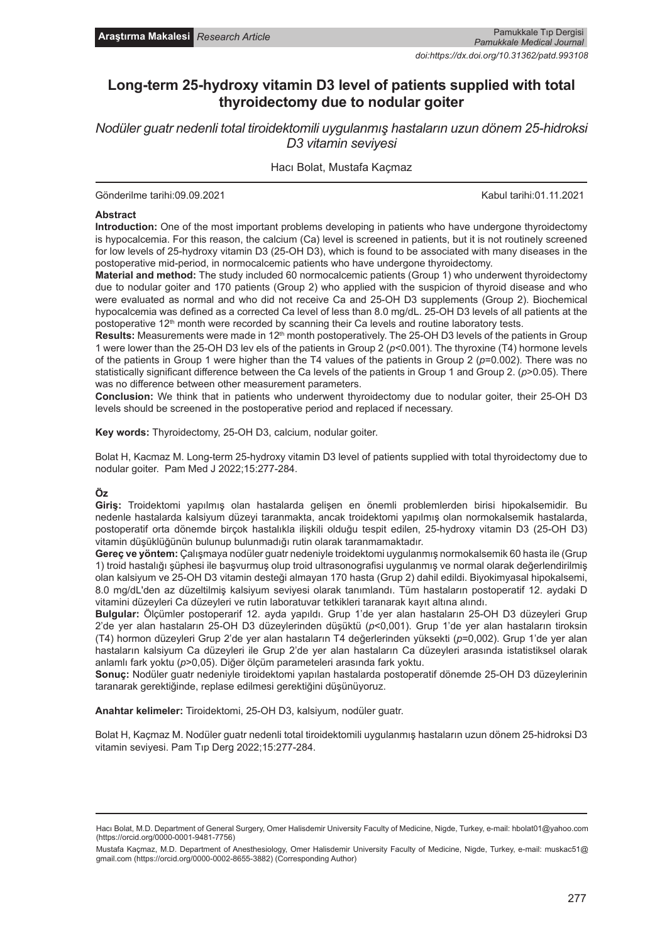# **Long-term 25-hydroxy vitamin D3 level of patients supplied with total thyroidectomy due to nodular goiter**

*Nodüler guatr nedenli total tiroidektomili uygulanmış hastaların uzun dönem 25-hidroksi D3 vitamin seviyesi*

## Hacı Bolat, Mustafa Kaçmaz

Gönderilme tarihi:09.09.2021 Kabul tarihi:01.11.2021

#### **Abstract**

**Introduction:** One of the most important problems developing in patients who have undergone thyroidectomy is hypocalcemia. For this reason, the calcium (Ca) level is screened in patients, but it is not routinely screened for low levels of 25-hydroxy vitamin D3 (25-OH D3), which is found to be associated with many diseases in the postoperative mid-period, in normocalcemic patients who have undergone thyroidectomy.

**Material and method:** The study included 60 normocalcemic patients (Group 1) who underwent thyroidectomy due to nodular goiter and 170 patients (Group 2) who applied with the suspicion of thyroid disease and who were evaluated as normal and who did not receive Ca and 25-OH D3 supplements (Group 2). Biochemical hypocalcemia was defined as a corrected Ca level of less than 8.0 mg/dL. 25-OH D3 levels of all patients at the postoperative  $12<sup>th</sup>$  month were recorded by scanning their Ca levels and routine laboratory tests.

Results: Measurements were made in 12<sup>th</sup> month postoperatively. The 25-OH D3 levels of the patients in Group 1 were lower than the 25-OH D3 lev els of the patients in Group 2 (*p*<0.001). The thyroxine (T4) hormone levels of the patients in Group 1 were higher than the T4 values of the patients in Group 2 (*p*=0.002). There was no statistically significant difference between the Ca levels of the patients in Group 1 and Group 2. (*p*>0.05). There was no difference between other measurement parameters.

**Conclusion:** We think that in patients who underwent thyroidectomy due to nodular goiter, their 25-OH D3 levels should be screened in the postoperative period and replaced if necessary.

**Key words:** Thyroidectomy, 25-OH D3, calcium, nodular goiter.

Bolat H, Kacmaz M. Long-term 25-hydroxy vitamin D3 level of patients supplied with total thyroidectomy due to nodular goiter. Pam Med J 2022;15:277-284.

#### **Öz**

**Giriş:** Troidektomi yapılmış olan hastalarda gelişen en önemli problemlerden birisi hipokalsemidir. Bu nedenle hastalarda kalsiyum düzeyi taranmakta, ancak troidektomi yapılmış olan normokalsemik hastalarda, postoperatif orta dönemde birçok hastalıkla ilişkili olduğu tespit edilen, 25-hydroxy vitamin D3 (25-OH D3) vitamin düşüklüğünün bulunup bulunmadığı rutin olarak taranmamaktadır.

**Gereç ve yöntem:** Çalışmaya nodüler guatr nedeniyle troidektomi uygulanmış normokalsemik 60 hasta ile (Grup 1) troid hastalığı şüphesi ile başvurmuş olup troid ultrasonografisi uygulanmış ve normal olarak değerlendirilmiş olan kalsiyum ve 25-OH D3 vitamin desteği almayan 170 hasta (Grup 2) dahil edildi. Biyokimyasal hipokalsemi, 8.0 mg/dL'den az düzeltilmiş kalsiyum seviyesi olarak tanımlandı. Tüm hastaların postoperatif 12. aydaki D vitamini düzeyleri Ca düzeyleri ve rutin laboratuvar tetkikleri taranarak kayıt altına alındı.

**Bulgular:** Ölçümler postoperarif 12. ayda yapıldı. Grup 1'de yer alan hastaların 25-OH D3 düzeyleri Grup 2'de yer alan hastaların 25-OH D3 düzeylerinden düşüktü (*p*<0,001). Grup 1'de yer alan hastaların tiroksin (T4) hormon düzeyleri Grup 2'de yer alan hastaların T4 değerlerinden yüksekti (*p*=0,002). Grup 1'de yer alan hastaların kalsiyum Ca düzeyleri ile Grup 2'de yer alan hastaların Ca düzeyleri arasında istatistiksel olarak anlamlı fark yoktu (*p*>0,05). Diğer ölçüm parameteleri arasında fark yoktu.

**Sonuç:** Nodüler guatr nedeniyle tiroidektomi yapılan hastalarda postoperatif dönemde 25-OH D3 düzeylerinin taranarak gerektiğinde, replase edilmesi gerektiğini düşünüyoruz.

**Anahtar kelimeler:** Tiroidektomi, 25-OH D3, kalsiyum, nodüler guatr.

Bolat H, Kaçmaz M. Nodüler guatr nedenli total tiroidektomili uygulanmış hastaların uzun dönem 25-hidroksi D3 vitamin seviyesi. Pam Tıp Derg 2022;15:277-284.

Hacı Bolat, M.D. Department of General Surgery, Omer Halisdemir University Faculty of Medicine, Nigde, Turkey, e-mail: hbolat01@yahoo.com (https://orcid.org/0000-0001-9481-7756)

Mustafa Kaçmaz, M.D. Department of Anesthesiology, Omer Halisdemir University Faculty of Medicine, Nigde, Turkey, e-mail: muskac51@ gmail.com (https://orcid.org/0000-0002-8655-3882) (Corresponding Author)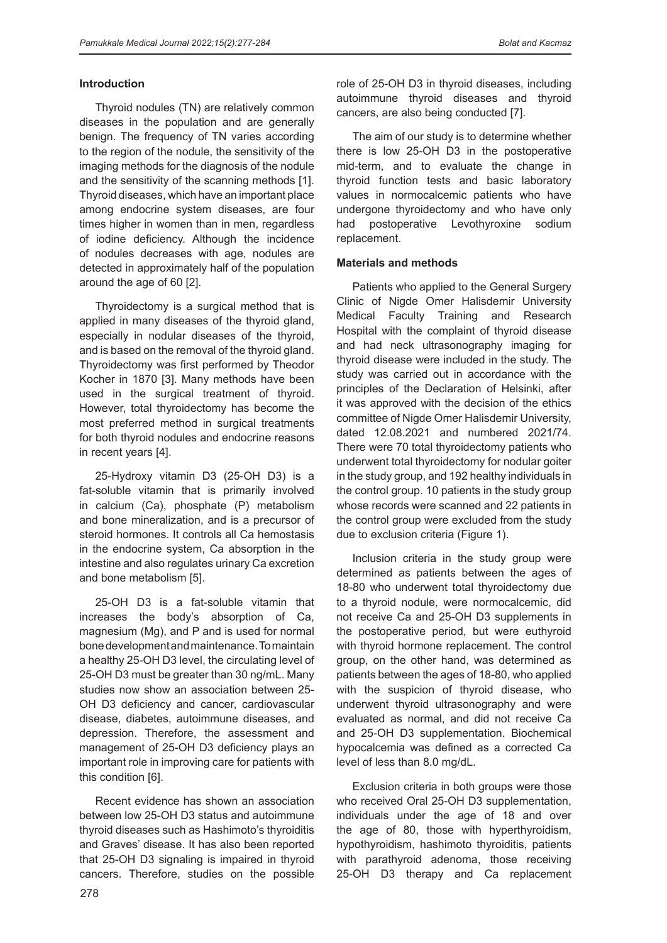#### **Introduction**

Thyroid nodules (TN) are relatively common diseases in the population and are generally benign. The frequency of TN varies according to the region of the nodule, the sensitivity of the imaging methods for the diagnosis of the nodule and the sensitivity of the scanning methods [1]. Thyroid diseases, which have an important place among endocrine system diseases, are four times higher in women than in men, regardless of iodine deficiency. Although the incidence of nodules decreases with age, nodules are detected in approximately half of the population around the age of 60 [2].

Thyroidectomy is a surgical method that is applied in many diseases of the thyroid gland, especially in nodular diseases of the thyroid, and is based on the removal of the thyroid gland. Thyroidectomy was first performed by Theodor Kocher in 1870 [3]. Many methods have been used in the surgical treatment of thyroid. However, total thyroidectomy has become the most preferred method in surgical treatments for both thyroid nodules and endocrine reasons in recent years [4].

25-Hydroxy vitamin D3 (25-OH D3) is a fat-soluble vitamin that is primarily involved in calcium (Ca), phosphate (P) metabolism and bone mineralization, and is a precursor of steroid hormones. It controls all Ca hemostasis in the endocrine system, Ca absorption in the intestine and also regulates urinary Ca excretion and bone metabolism [5].

25-OH D3 is a fat-soluble vitamin that increases the body's absorption of Ca, magnesium (Mg), and P and is used for normal bone development and maintenance. To maintain a healthy 25-OH D3 level, the circulating level of 25-OH D3 must be greater than 30 ng/mL. Many studies now show an association between 25- OH D3 deficiency and cancer, cardiovascular disease, diabetes, autoimmune diseases, and depression. Therefore, the assessment and management of 25-OH D3 deficiency plays an important role in improving care for patients with this condition [6].

Recent evidence has shown an association between low 25-OH D3 status and autoimmune thyroid diseases such as Hashimoto's thyroiditis and Graves' disease. It has also been reported that 25-OH D3 signaling is impaired in thyroid cancers. Therefore, studies on the possible role of 25-OH D3 in thyroid diseases, including autoimmune thyroid diseases and thyroid cancers, are also being conducted [7].

The aim of our study is to determine whether there is low 25-OH D3 in the postoperative mid-term, and to evaluate the change in thyroid function tests and basic laboratory values in normocalcemic patients who have undergone thyroidectomy and who have only had postoperative Levothyroxine sodium replacement.

#### **Materials and methods**

Patients who applied to the General Surgery Clinic of Nigde Omer Halisdemir University Medical Faculty Training and Research Hospital with the complaint of thyroid disease and had neck ultrasonography imaging for thyroid disease were included in the study. The study was carried out in accordance with the principles of the Declaration of Helsinki, after it was approved with the decision of the ethics committee of Nigde Omer Halisdemir University, dated 12.08.2021 and numbered 2021/74. There were 70 total thyroidectomy patients who underwent total thyroidectomy for nodular goiter in the study group, and 192 healthy individuals in the control group. 10 patients in the study group whose records were scanned and 22 patients in the control group were excluded from the study due to exclusion criteria (Figure 1).

Inclusion criteria in the study group were determined as patients between the ages of 18-80 who underwent total thyroidectomy due to a thyroid nodule, were normocalcemic, did not receive Ca and 25-OH D3 supplements in the postoperative period, but were euthyroid with thyroid hormone replacement. The control group, on the other hand, was determined as patients between the ages of 18-80, who applied with the suspicion of thyroid disease, who underwent thyroid ultrasonography and were evaluated as normal, and did not receive Ca and 25-OH D3 supplementation. Biochemical hypocalcemia was defined as a corrected Ca level of less than 8.0 mg/dL.

Exclusion criteria in both groups were those who received Oral 25-OH D3 supplementation, individuals under the age of 18 and over the age of 80, those with hyperthyroidism, hypothyroidism, hashimoto thyroiditis, patients with parathyroid adenoma, those receiving 25-OH D3 therapy and Ca replacement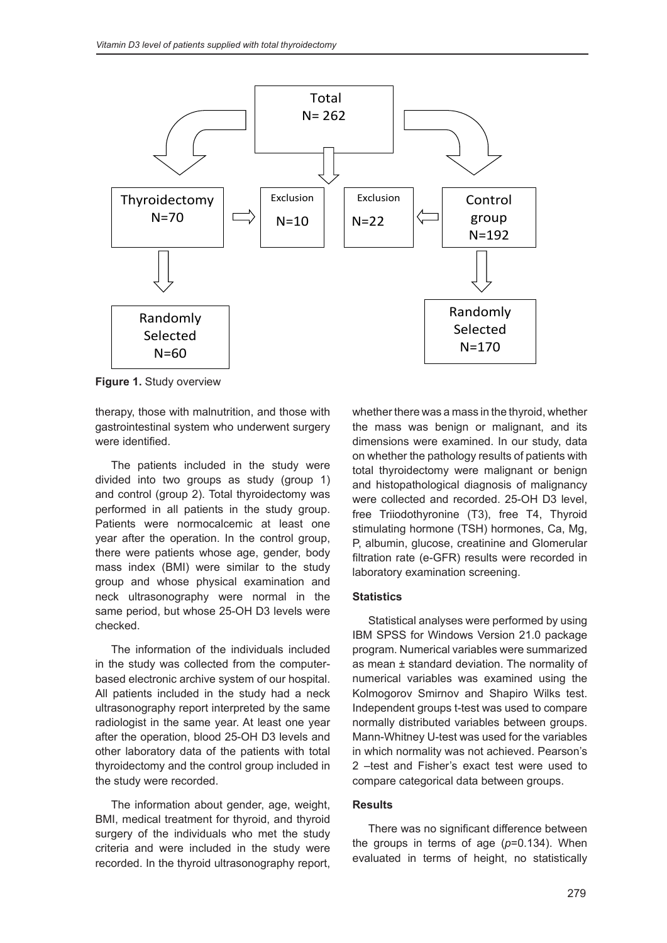

**Figure 1.** Study overview

therapy, those with malnutrition, and those with gastrointestinal system who underwent surgery were identified.

The patients included in the study were divided into two groups as study (group 1) and control (group 2). Total thyroidectomy was performed in all patients in the study group. Patients were normocalcemic at least one year after the operation. In the control group, there were patients whose age, gender, body mass index (BMI) were similar to the study group and whose physical examination and neck ultrasonography were normal in the same period, but whose 25-OH D3 levels were checked.

The information of the individuals included in the study was collected from the computerbased electronic archive system of our hospital. All patients included in the study had a neck ultrasonography report interpreted by the same radiologist in the same year. At least one year after the operation, blood 25-OH D3 levels and other laboratory data of the patients with total thyroidectomy and the control group included in the study were recorded.

The information about gender, age, weight, BMI, medical treatment for thyroid, and thyroid surgery of the individuals who met the study criteria and were included in the study were recorded. In the thyroid ultrasonography report, whether there was a mass in the thyroid, whether the mass was benign or malignant, and its dimensions were examined. In our study, data on whether the pathology results of patients with total thyroidectomy were malignant or benign and histopathological diagnosis of malignancy were collected and recorded. 25-OH D3 level, free Triiodothyronine (T3), free T4, Thyroid stimulating hormone (TSH) hormones, Ca, Mg, P, albumin, glucose, creatinine and Glomerular filtration rate (e-GFR) results were recorded in laboratory examination screening.

#### **Statistics**

Statistical analyses were performed by using IBM SPSS for Windows Version 21.0 package program. Numerical variables were summarized as mean ± standard deviation. The normality of numerical variables was examined using the Kolmogorov Smirnov and Shapiro Wilks test. Independent groups t-test was used to compare normally distributed variables between groups. Mann-Whitney U-test was used for the variables in which normality was not achieved. Pearson's 2 –test and Fisher's exact test were used to compare categorical data between groups.

#### **Results**

There was no significant difference between the groups in terms of age (*p*=0.134). When evaluated in terms of height, no statistically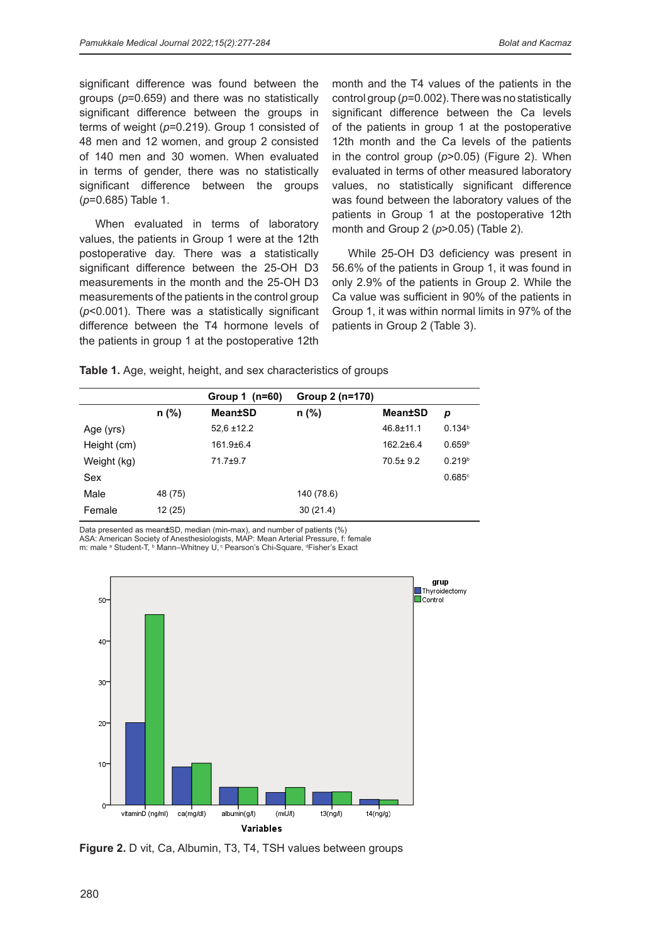significant difference was found between the groups (*p*=0.659) and there was no statistically significant difference between the groups in terms of weight (*p*=0.219). Group 1 consisted of 48 men and 12 women, and group 2 consisted of 140 men and 30 women. When evaluated in terms of gender, there was no statistically significant difference between the groups (*p*=0.685) Table 1.

When evaluated in terms of laboratory values, the patients in Group 1 were at the 12th postoperative day. There was a statistically significant difference between the 25-OH D3 measurements in the month and the 25-OH D3 measurements of the patients in the control group (*p*<0.001). There was a statistically significant difference between the T4 hormone levels of the patients in group 1 at the postoperative 12th

month and the T4 values of the patients in the control group (*p*=0.002). There was no statistically significant difference between the Ca levels of the patients in group 1 at the postoperative 12th month and the Ca levels of the patients in the control group (*p*>0.05) (Figure 2). When evaluated in terms of other measured laboratory values, no statistically significant difference was found between the laboratory values of the patients in Group 1 at the postoperative 12th month and Group 2 (*p*>0.05) (Table 2).

While 25-OH D3 deficiency was present in 56.6% of the patients in Group 1, it was found in only 2.9% of the patients in Group 2. While the Ca value was sufficient in 90% of the patients in Group 1, it was within normal limits in 97% of the patients in Group 2 (Table 3).

**Table 1.** Age, weight, height, and sex characteristics of groups

|             |         | Group 1 $(n=60)$ | Group 2 (n=170) |                 |                      |
|-------------|---------|------------------|-----------------|-----------------|----------------------|
|             | $n$ (%) | Mean±SD          | $n$ (%)         | Mean±SD         | p                    |
| Age (yrs)   |         | $52.6 \pm 12.2$  |                 | $46.8 \pm 11.1$ | 0.134 <sup>b</sup>   |
| Height (cm) |         | $161.9 + 6.4$    |                 | $162.2 + 6.4$   | 0.659 <sup>b</sup>   |
| Weight (kg) |         | 71.7±9.7         |                 | $70.5 \pm 9.2$  | 0.219 <sup>b</sup>   |
| Sex         |         |                  |                 |                 | $0.685$ <sup>c</sup> |
| Male        | 48 (75) |                  | 140 (78.6)      |                 |                      |
| Female      | 12 (25) |                  | 30(21.4)        |                 |                      |

Data presented as mean**±**SD, median (min-max), and number of patients (%) ASA: American Society of Anesthesiologists, MAP: Mean Arterial Pressure, f: female m: male <sup>a</sup> Student-T, b Mann–Whitney U, c Pearson's Chi-Square, d Fisher's Exact



**Figure 2.** D vit, Ca, Albumin, T3, T4, TSH values between groups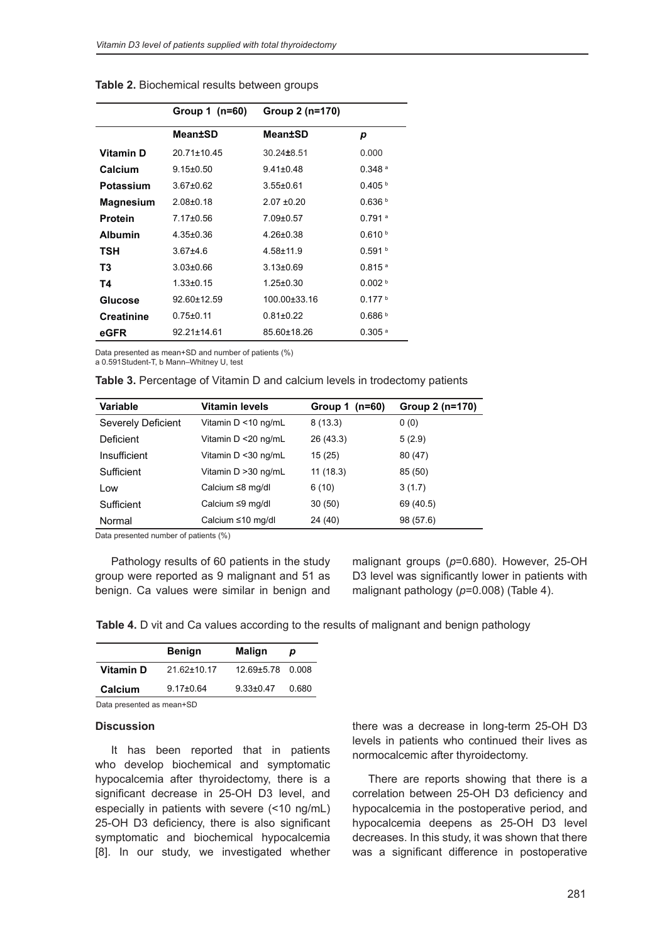|                   | Group 1 (n=60)    | Group 2 (n=170)    |                      |
|-------------------|-------------------|--------------------|----------------------|
|                   | Mean±SD           | Mean±SD            | р                    |
| Vitamin D         | $20.71 \pm 10.45$ | 30.24±8.51         | 0.000                |
| Calcium           | $9.15 \pm 0.50$   | $9.41 \pm 0.48$    | $0.348$ <sup>a</sup> |
| Potassium         | $3.67 \pm 0.62$   | $3.55 \pm 0.61$    | 0.405 h              |
| <b>Magnesium</b>  | $2.08 + 0.18$     | $2.07 + 0.20$      | 0.636 <sup>b</sup>   |
| <b>Protein</b>    | $7.17 \pm 0.56$   | $7.09 \pm 0.57$    | $0.791$ <sup>a</sup> |
| <b>Albumin</b>    | $4.35 \pm 0.36$   | $4.26 \pm 0.38$    | 0.610 <sup>b</sup>   |
| TSH               | $367+46$          | $4.58 + 11.9$      | 0.591 h              |
| T3                | $3.03 \pm 0.66$   | $3.13 \pm 0.69$    | $0.815$ <sup>a</sup> |
| T4                | $1.33 \pm 0.15$   | $1.25 \pm 0.30$    | 0.002 <sup>b</sup>   |
| Glucose           | 92.60±12.59       | $100.00 \pm 33.16$ | 0.177h               |
| <b>Creatinine</b> | $0.75 + 0.11$     | $0.81 \pm 0.22$    | 0.686 <sup>b</sup>   |
| eGFR              | 92.21±14.61       | 85.60±18.26        | $0.305$ <sup>a</sup> |

**Table 2.** Biochemical results between groups

Data presented as mean+SD and number of patients (%)

a 0.591Student-T, b Mann–Whitney U, test

| Table 3. Percentage of Vitamin D and calcium levels in trodectomy patients |  |  |  |
|----------------------------------------------------------------------------|--|--|--|
|----------------------------------------------------------------------------|--|--|--|

| <b>Variable</b>    | <b>Vitamin levels</b>  | $(n=60)$<br>Group 1 | Group 2 (n=170) |
|--------------------|------------------------|---------------------|-----------------|
| Severely Deficient | Vitamin D <10 ng/mL    | 8(13.3)             | 0(0)            |
| Deficient          | Vitamin D <20 ng/mL    | 26 (43.3)           | 5(2.9)          |
| Insufficient       | Vitamin D <30 ng/mL    | 15(25)              | 80 (47)         |
| Sufficient         | Vitamin D > 30 ng/mL   | 11(18.3)            | 85 (50)         |
| Low                | Calcium $\leq$ 8 mg/dl | 6(10)               | 3(1.7)          |
| Sufficient         | Calcium ≤9 mg/dl       | 30(50)              | 69 (40.5)       |
| Normal             | Calcium ≤10 mg/dl      | 24 (40)             | 98 (57.6)       |

Data presented number of patients (%)

Pathology results of 60 patients in the study group were reported as 9 malignant and 51 as benign. Ca values were similar in benign and

malignant groups (*p*=0.680). However, 25-OH D3 level was significantly lower in patients with malignant pathology (*p*=0.008) (Table 4).

**Table 4.** D vit and Ca values according to the results of malignant and benign pathology

|                           | <b>Benign</b>   | <b>Malign</b>    | D     |
|---------------------------|-----------------|------------------|-------|
| <b>Vitamin D</b>          | 21.62±10.17     | 12.69±5.78 0.008 |       |
| Calcium                   | $9.17 \pm 0.64$ | $9.33 \pm 0.47$  | 0.680 |
| Data presented as mean+SD |                 |                  |       |

#### **Discussion**

It has been reported that in patients who develop biochemical and symptomatic hypocalcemia after thyroidectomy, there is a significant decrease in 25-OH D3 level, and especially in patients with severe (<10 ng/mL) 25-OH D3 deficiency, there is also significant symptomatic and biochemical hypocalcemia [8]. In our study, we investigated whether

there was a decrease in long-term 25-OH D3 levels in patients who continued their lives as normocalcemic after thyroidectomy.

There are reports showing that there is a correlation between 25-OH D3 deficiency and hypocalcemia in the postoperative period, and hypocalcemia deepens as 25-OH D3 level decreases. In this study, it was shown that there was a significant difference in postoperative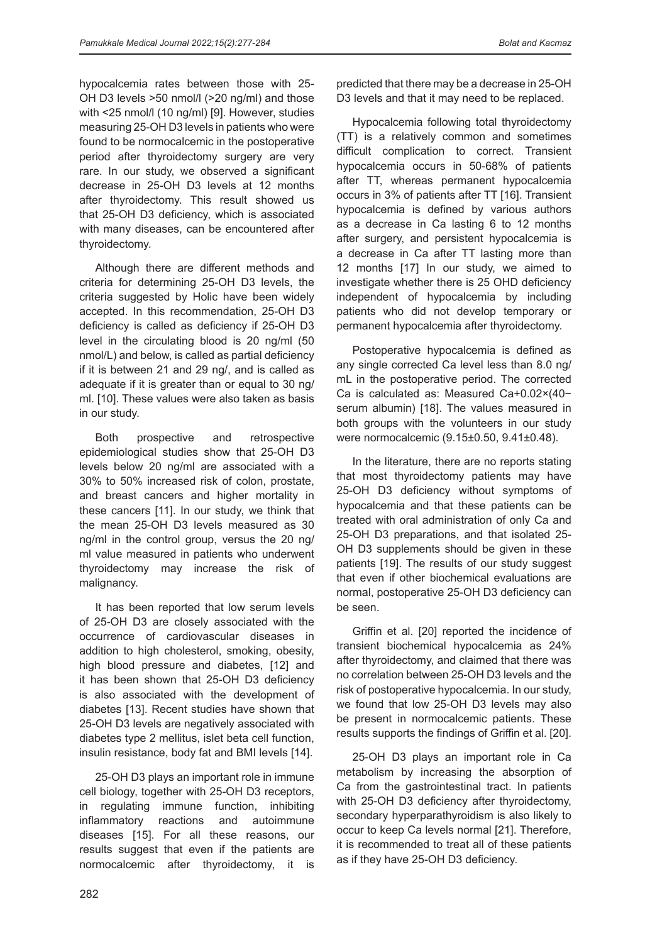hypocalcemia rates between those with 25- OH D3 levels >50 nmol/l (>20 ng/ml) and those with <25 nmol/l (10 ng/ml) [9]. However, studies measuring 25-OH D3 levels in patients who were found to be normocalcemic in the postoperative period after thyroidectomy surgery are very rare. In our study, we observed a significant decrease in 25-OH D3 levels at 12 months after thyroidectomy. This result showed us that 25-OH D3 deficiency, which is associated with many diseases, can be encountered after thyroidectomy.

Although there are different methods and criteria for determining 25-OH D3 levels, the criteria suggested by Holic have been widely accepted. In this recommendation, 25-OH D3 deficiency is called as deficiency if 25-OH D3 level in the circulating blood is 20 ng/ml (50 nmol/L) and below, is called as partial deficiency if it is between 21 and 29 ng/, and is called as adequate if it is greater than or equal to 30 ng/ ml. [10]. These values were also taken as basis in our study.

Both prospective and retrospective epidemiological studies show that 25-OH D3 levels below 20 ng/ml are associated with a 30% to 50% increased risk of colon, prostate, and breast cancers and higher mortality in these cancers [11]. In our study, we think that the mean 25-OH D3 levels measured as 30 ng/ml in the control group, versus the 20 ng/ ml value measured in patients who underwent thyroidectomy may increase the risk of malignancy.

It has been reported that low serum levels of 25-OH D3 are closely associated with the occurrence of cardiovascular diseases in addition to high cholesterol, smoking, obesity, high blood pressure and diabetes, [12] and it has been shown that 25-OH D3 deficiency is also associated with the development of diabetes [13]. Recent studies have shown that 25-OH D3 levels are negatively associated with diabetes type 2 mellitus, islet beta cell function, insulin resistance, body fat and BMI levels [14].

25-OH D3 plays an important role in immune cell biology, together with 25-OH D3 receptors, in regulating immune function, inhibiting inflammatory reactions and autoimmune diseases [15]. For all these reasons, our results suggest that even if the patients are normocalcemic after thyroidectomy, it is predicted that there may be a decrease in 25-OH D3 levels and that it may need to be replaced.

Hypocalcemia following total thyroidectomy (TT) is a relatively common and sometimes difficult complication to correct. Transient hypocalcemia occurs in 50-68% of patients after TT, whereas permanent hypocalcemia occurs in 3% of patients after TT [16]. Transient hypocalcemia is defined by various authors as a decrease in Ca lasting 6 to 12 months after surgery, and persistent hypocalcemia is a decrease in Ca after TT lasting more than 12 months [17] In our study, we aimed to investigate whether there is 25 OHD deficiency independent of hypocalcemia by including patients who did not develop temporary or permanent hypocalcemia after thyroidectomy.

Postoperative hypocalcemia is defined as any single corrected Ca level less than 8.0 ng/ mL in the postoperative period. The corrected Ca is calculated as: Measured Ca+0.02×(40− serum albumin) [18]. The values measured in both groups with the volunteers in our study were normocalcemic (9.15±0.50, 9.41±0.48).

In the literature, there are no reports stating that most thyroidectomy patients may have 25-OH D3 deficiency without symptoms of hypocalcemia and that these patients can be treated with oral administration of only Ca and 25-OH D3 preparations, and that isolated 25- OH D3 supplements should be given in these patients [19]. The results of our study suggest that even if other biochemical evaluations are normal, postoperative 25-OH D3 deficiency can be seen.

Griffin et al. [20] reported the incidence of transient biochemical hypocalcemia as 24% after thyroidectomy, and claimed that there was no correlation between 25-OH D3 levels and the risk of postoperative hypocalcemia. In our study, we found that low 25-OH D3 levels may also be present in normocalcemic patients. These results supports the findings of Griffin et al. [20].

25-OH D3 plays an important role in Ca metabolism by increasing the absorption of Ca from the gastrointestinal tract. In patients with 25-OH D3 deficiency after thyroidectomy, secondary hyperparathyroidism is also likely to occur to keep Ca levels normal [21]. Therefore, it is recommended to treat all of these patients as if they have 25-OH D3 deficiency.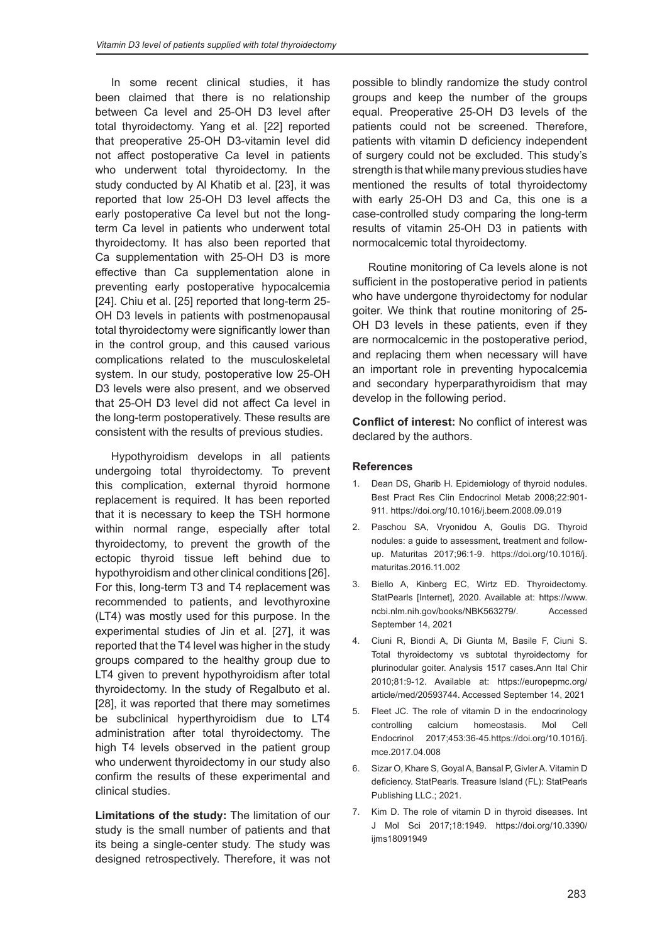In some recent clinical studies, it has been claimed that there is no relationship between Ca level and 25-OH D3 level after total thyroidectomy. Yang et al. [22] reported that preoperative 25-OH D3-vitamin level did not affect postoperative Ca level in patients who underwent total thyroidectomy. In the study conducted by Al Khatib et al. [23], it was reported that low 25-OH D3 level affects the early postoperative Ca level but not the longterm Ca level in patients who underwent total thyroidectomy. It has also been reported that Ca supplementation with 25-OH D3 is more effective than Ca supplementation alone in preventing early postoperative hypocalcemia [24]. Chiu et al. [25] reported that long-term 25-OH D3 levels in patients with postmenopausal total thyroidectomy were significantly lower than in the control group, and this caused various complications related to the musculoskeletal system. In our study, postoperative low 25-OH D3 levels were also present, and we observed that 25-OH D3 level did not affect Ca level in the long-term postoperatively. These results are consistent with the results of previous studies.

Hypothyroidism develops in all patients undergoing total thyroidectomy. To prevent this complication, external thyroid hormone replacement is required. It has been reported that it is necessary to keep the TSH hormone within normal range, especially after total thyroidectomy, to prevent the growth of the ectopic thyroid tissue left behind due to hypothyroidism and other clinical conditions [26]. For this, long-term T3 and T4 replacement was recommended to patients, and levothyroxine (LT4) was mostly used for this purpose. In the experimental studies of Jin et al. [27], it was reported that the T4 level was higher in the study groups compared to the healthy group due to LT4 given to prevent hypothyroidism after total thyroidectomy. In the study of Regalbuto et al. [28], it was reported that there may sometimes be subclinical hyperthyroidism due to LT4 administration after total thyroidectomy. The high T4 levels observed in the patient group who underwent thyroidectomy in our study also confirm the results of these experimental and clinical studies.

**Limitations of the study:** The limitation of our study is the small number of patients and that its being a single-center study. The study was designed retrospectively. Therefore, it was not

possible to blindly randomize the study control groups and keep the number of the groups equal. Preoperative 25-OH D3 levels of the patients could not be screened. Therefore, patients with vitamin D deficiency independent of surgery could not be excluded. This study's strength is that while many previous studies have mentioned the results of total thyroidectomy with early 25-OH D3 and Ca, this one is a case-controlled study comparing the long-term results of vitamin 25-OH D3 in patients with normocalcemic total thyroidectomy.

Routine monitoring of Ca levels alone is not sufficient in the postoperative period in patients who have undergone thyroidectomy for nodular goiter. We think that routine monitoring of 25- OH D3 levels in these patients, even if they are normocalcemic in the postoperative period, and replacing them when necessary will have an important role in preventing hypocalcemia and secondary hyperparathyroidism that may develop in the following period.

**Conflict of interest:** No conflict of interest was declared by the authors.

### **References**

- 1. Dean DS, Gharib H. Epidemiology of thyroid nodules. Best Pract Res Clin Endocrinol Metab 2008;22:901- 911. https://doi.org/10.1016/j.beem.2008.09.019
- 2. Paschou SΑ, Vryonidou A, Goulis DG. Thyroid nodules: a guide to assessment, treatment and followup. Maturitas 2017;96:1-9. https://doi.org/10.1016/j. maturitas.2016.11.002
- 3. Biello A, Kinberg EC, Wirtz ED. Thyroidectomy. StatPearls [Internet], 2020. Available at: https://www. ncbi.nlm.nih.gov/books/NBK563279/. Accessed September 14, 2021
- 4. Ciuni R, Biondi A, Di Giunta M, Basile F, Ciuni S. Total thyroidectomy vs subtotal thyroidectomy for plurinodular goiter. Analysis 1517 cases.Ann Ital Chir 2010;81:9-12. Available at: https://europepmc.org/ article/med/20593744. Accessed September 14, 2021
- 5. Fleet JC. The role of vitamin D in the endocrinology controlling calcium homeostasis. Mol Cell Endocrinol 2017;453:36-45.https://doi.org/10.1016/j. mce.2017.04.008
- 6. Sizar O, Khare S, Goyal A, Bansal P, Givler A. Vitamin D deficiency. StatPearls. Treasure Island (FL): StatPearls Publishing LLC.; 2021.
- 7. Kim D. The role of vitamin D in thyroid diseases. Int J Mol Sci 2017;18:1949. https://doi.org/10.3390/ ijms18091949